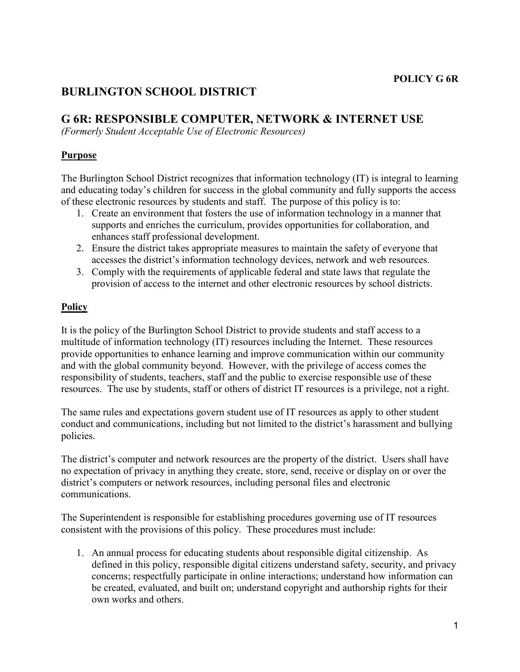# **BURLINGTON SCHOOL DISTRICT**

## **G 6R: RESPONSIBLE COMPUTER, NETWORK & INTERNET USE**

*(Formerly Student Acceptable Use of Electronic Resources)* 

### **Purpose**

The Burlington School District recognizes that information technology (IT) is integral to learning and educating today's children for success in the global community and fully supports the access of these electronic resources by students and staff. The purpose of this policy is to:

- 1. Create an environment that fosters the use of information technology in a manner that supports and enriches the curriculum, provides opportunities for collaboration, and enhances staff professional development.
- 2. Ensure the district takes appropriate measures to maintain the safety of everyone that accesses the district's information technology devices, network and web resources.
- 3. Comply with the requirements of applicable federal and state laws that regulate the provision of access to the internet and other electronic resources by school districts.

## **Policy**

It is the policy of the Burlington School District to provide students and staff access to a multitude of information technology (IT) resources including the Internet. These resources provide opportunities to enhance learning and improve communication within our community and with the global community beyond. However, with the privilege of access comes the responsibility of students, teachers, staff and the public to exercise responsible use of these resources. The use by students, staff or others of district IT resources is a privilege, not a right.

The same rules and expectations govern student use of IT resources as apply to other student conduct and communications, including but not limited to the district's harassment and bullying policies.

The district's computer and network resources are the property of the district. Users shall have no expectation of privacy in anything they create, store, send, receive or display on or over the district's computers or network resources, including personal files and electronic communications.

The Superintendent is responsible for establishing procedures governing use of IT resources consistent with the provisions of this policy. These procedures must include:

1. An annual process for educating students about responsible digital citizenship. As defined in this policy, responsible digital citizens understand safety, security, and privacy concerns; respectfully participate in online interactions; understand how information can be created, evaluated, and built on; understand copyright and authorship rights for their own works and others.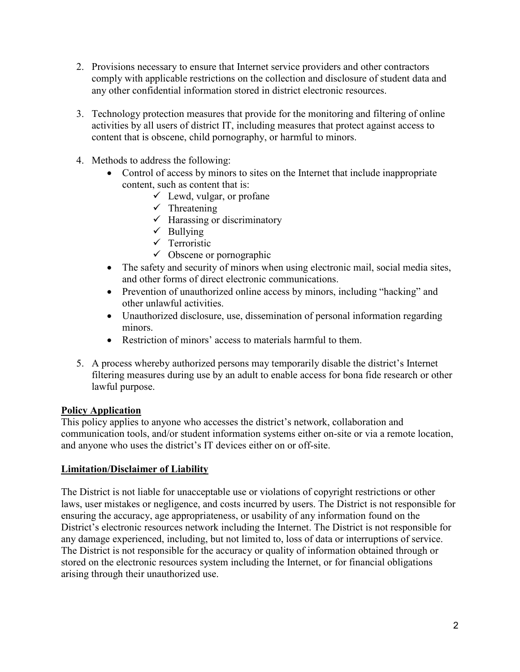- 2. Provisions necessary to ensure that Internet service providers and other contractors comply with applicable restrictions on the collection and disclosure of student data and any other confidential information stored in district electronic resources.
- 3. Technology protection measures that provide for the monitoring and filtering of online activities by all users of district IT, including measures that protect against access to content that is obscene, child pornography, or harmful to minors.
- 4. Methods to address the following:
	- Control of access by minors to sites on the Internet that include inappropriate content, such as content that is:
		- $\checkmark$  Lewd, vulgar, or profane
		- $\checkmark$  Threatening
		- $\checkmark$  Harassing or discriminatory
		- $\checkmark$  Bullying
		- $\checkmark$  Terroristic
		- $\checkmark$  Obscene or pornographic
	- The safety and security of minors when using electronic mail, social media sites, and other forms of direct electronic communications.
	- Prevention of unauthorized online access by minors, including "hacking" and other unlawful activities.
	- Unauthorized disclosure, use, dissemination of personal information regarding minors.
	- Restriction of minors' access to materials harmful to them.
- 5. A process whereby authorized persons may temporarily disable the district's Internet filtering measures during use by an adult to enable access for bona fide research or other lawful purpose.

#### **Policy Application**

This policy applies to anyone who accesses the district's network, collaboration and communication tools, and/or student information systems either on-site or via a remote location, and anyone who uses the district's IT devices either on or off-site.

#### **Limitation/Disclaimer of Liability**

The District is not liable for unacceptable use or violations of copyright restrictions or other laws, user mistakes or negligence, and costs incurred by users. The District is not responsible for ensuring the accuracy, age appropriateness, or usability of any information found on the District's electronic resources network including the Internet. The District is not responsible for any damage experienced, including, but not limited to, loss of data or interruptions of service. The District is not responsible for the accuracy or quality of information obtained through or stored on the electronic resources system including the Internet, or for financial obligations arising through their unauthorized use.